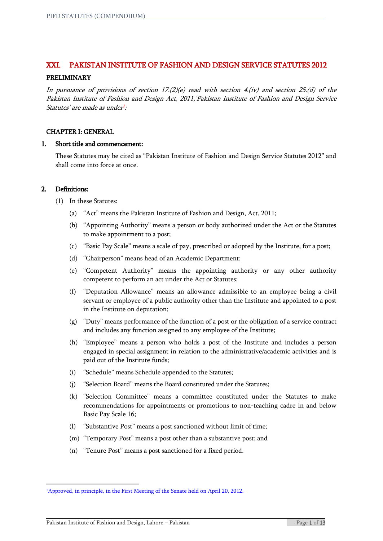# XXI. PAKISTAN INSTITUTE OF FASHION AND DESIGN SERVICE STATUTES 2012

# PRELIMINARY

In pursuance of provisions of section  $17.2$  (e) read with section 4.(iv) and section 25.(d) of the Pakistan Institute of Fashion and Design Act, 2011,'Pakistan Institute of Fashion and Design Service Statutes' are made as under<sup>1</sup>:

# CHAPTER I: GENERAL

#### 1. Short title and commencement:

These Statutes may be cited as "Pakistan Institute of Fashion and Design Service Statutes 2012" and shall come into force at once.

#### 2. Definitions:

**.** 

- (1) In these Statutes:
	- (a) "Act" means the Pakistan Institute of Fashion and Design, Act, 2011;
	- (b) "Appointing Authority" means a person or body authorized under the Act or the Statutes to make appointment to a post;
	- (c) "Basic Pay Scale" means a scale of pay, prescribed or adopted by the Institute, for a post;
	- (d) "Chairperson" means head of an Academic Department;
	- (e) "Competent Authority" means the appointing authority or any other authority competent to perform an act under the Act or Statutes;
	- (f) "Deputation Allowance" means an allowance admissible to an employee being a civil servant or employee of a public authority other than the Institute and appointed to a post in the Institute on deputation;
	- (g) "Duty" means performance of the function of a post or the obligation of a service contract and includes any function assigned to any employee of the Institute;
	- (h) "Employee" means a person who holds a post of the Institute and includes a person engaged in special assignment in relation to the administrative/academic activities and is paid out of the Institute funds;
	- (i) "Schedule" means Schedule appended to the Statutes;
	- (j) "Selection Board" means the Board constituted under the Statutes;
	- (k) "Selection Committee" means a committee constituted under the Statutes to make recommendations for appointments or promotions to non-teaching cadre in and below Basic Pay Scale 16;
	- (l) "Substantive Post" means a post sanctioned without limit of time;
	- (m) "Temporary Post" means a post other than a substantive post; and
	- (n) "Tenure Post" means a post sanctioned for a fixed period.

<sup>&</sup>lt;sup>1</sup>Approved, in principle, in the First Meeting of the Senate held on April 20, 2012.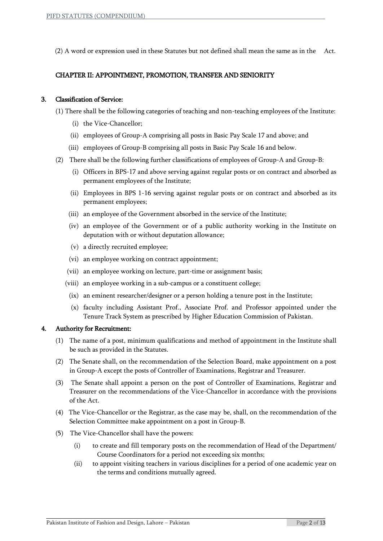(2) A word or expression used in these Statutes but not defined shall mean the same as in the Act.

# CHAPTER II: APPOINTMENT, PROMOTION, TRANSFER AND SENIORITY

## 3. Classification of Service:

- (1) There shall be the following categories of teaching and non-teaching employees of the Institute:
	- (i) the Vice-Chancellor;
	- (ii) employees of Group-A comprising all posts in Basic Pay Scale 17 and above; and
	- (iii) employees of Group-B comprising all posts in Basic Pay Scale 16 and below.
- (2) There shall be the following further classifications of employees of Group-A and Group-B:
	- (i) Officers in BPS-17 and above serving against regular posts or on contract and absorbed as permanent employees of the Institute;
	- (ii) Employees in BPS 1-16 serving against regular posts or on contract and absorbed as its permanent employees;
	- (iii) an employee of the Government absorbed in the service of the Institute;
	- (iv) an employee of the Government or of a public authority working in the Institute on deputation with or without deputation allowance;
	- (v) a directly recruited employee;
	- (vi) an employee working on contract appointment;
	- (vii) an employee working on lecture, part-time or assignment basis;
	- (viii) an employee working in a sub-campus or a constituent college;
	- (ix) an eminent researcher/designer or a person holding a tenure post in the Institute;
	- (x) faculty including Assistant Prof., Associate Prof. and Professor appointed under the Tenure Track System as prescribed by Higher Education Commission of Pakistan.

#### 4. Authority for Recruitment:

- (1) The name of a post, minimum qualifications and method of appointment in the Institute shall be such as provided in the Statutes.
- (2) The Senate shall, on the recommendation of the Selection Board, make appointment on a post in Group-A except the posts of Controller of Examinations, Registrar and Treasurer.
- (3) The Senate shall appoint a person on the post of Controller of Examinations, Registrar and Treasurer on the recommendations of the Vice-Chancellor in accordance with the provisions of the Act.
- (4) The Vice-Chancellor or the Registrar, as the case may be, shall, on the recommendation of the Selection Committee make appointment on a post in Group-B.
- (5) The Vice-Chancellor shall have the powers:
	- (i) to create and fill temporary posts on the recommendation of Head of the Department/ Course Coordinators for a period not exceeding six months;
	- (ii) to appoint visiting teachers in various disciplines for a period of one academic year on the terms and conditions mutually agreed.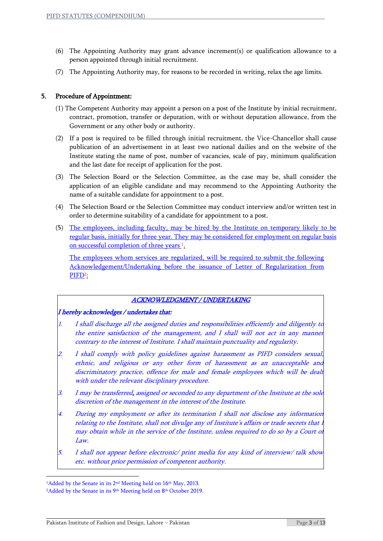- (6) The Appointing Authority may grant advance increment(s) or qualification allowance to a person appointed through initial recruitment.
- (7) The Appointing Authority may, for reasons to be recorded in writing, relax the age limits.

# 5. Procedure of Appointment:

- (1) The Competent Authority may appoint a person on a post of the Institute by initial recruitment, contract, promotion, transfer or deputation, with or without deputation allowance, from the Government or any other body or authority.
- (2) If a post is required to be filled through initial recruitment, the Vice-Chancellor shall cause publication of an advertisement in at least two national dailies and on the website of the Institute stating the name of post, number of vacancies, scale of pay, minimum qualification and the last date for receipt of application for the post.
- (3) The Selection Board or the Selection Committee, as the case may be, shall consider the application of an eligible candidate and may recommend to the Appointing Authority the name of a suitable candidate for appointment to a post.
- (4) The Selection Board or the Selection Committee may conduct interview and/or written test in order to determine suitability of a candidate for appointment to a post.
- (5) The employees, including faculty, may be hired by the Institute on temporary likely to be regular basis, initially for three year. They may be considered for employment on regular basis on successful completion of three years<sup>1</sup>.

The employees whom services are regularized, will be required to submit the following Acknowledgement/Undertaking before the issuance of Letter of Regularization from PIFD<sup>2</sup> :

# ACKNOWLEDGMENT / UNDERTAKING

# I hereby acknowledges / undertakes that:

- 1. I shall discharge all the assigned duties and responsibilities efficiently and diligently to the entire satisfaction of the management, and I shall will not act in any manner contrary to the interest of Institute. I shall maintain punctuality and regularity.
- 2. I shall comply with policy guidelines against harassment as PIFD considers sexual, ethnic, and religious or any other form of harassment as an unacceptable and discriminatory practice, offence for male and female employees which will be dealt with under the relevant disciplinary procedure.
- 3. I may be transferred, assigned or seconded to any department of the Institute at the sole discretion of the management in the interest of the Institute.
- 4. During my employment or after its termination I shall not disclose any information relating to the Institute, shall not divulge any of Institute's affairs or trade secrets that may obtain while in the service of the Institute, unless required to do so by a Court of Law.
- 5. I shall not appear before electronic/ print media for any kind of interview/ talk show etc. without prior permission of competent authority.

**.** 

<sup>&</sup>lt;sup>1</sup>Added by the Senate in its 2<sup>nd</sup> Meeting held on 16<sup>th</sup> May, 2013.

<sup>&</sup>lt;sup>2</sup>Added by the Senate in its 9<sup>th</sup> Meeting held on 8<sup>th</sup> October 2019.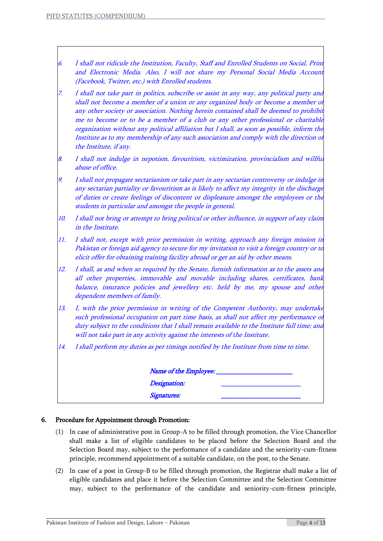- 6. I shall not ridicule the Institution, Faculty, Staff and Enrolled Students on Social, Print and Electronic Media. Also, I will not share my Personal Social Media Account (Facebook, Twitter, etc.) with Enrolled students.
- 7. I shall not take part in politics, subscribe or assist in any way, any political party and shall not become a member of a union or any organized body or become a member of any other society or association. Nothing herein contained shall be deemed to prohibit me to become or to be a member of a club or any other professional or charitable organization without any political affiliation but I shall, as soon as possible, inform the Institute as to my membership of any such association and comply with the direction of the Institute, if any.
- 8. I shall not indulge in nepotism, favouritism, victimization, provincialism and willful abuse of office.
- 9. I shall not propagate sectarianism or take part in any sectarian controversy or indulge in any sectarian partiality or favouritism as is likely to affect my integrity in the discharge of duties or create feelings of discontent or displeasure amongst the employees or the students in particular and amongst the people in general.
- 10. I shall not bring or attempt to bring political or other influence, in support of any claim in the Institute.
- 11. I shall not, except with prior permission in writing, approach any foreign mission in Pakistan or foreign aid agency to secure for my invitation to visit a foreign country or to elicit offer for obtaining training facility abroad or get an aid by other means.
- 12. I shall, as and when so required by the Senate, furnish information as to the assets and all other properties, immovable and movable including shares, certificates, bank balance, insurance policies and jewellery etc. held by me, my spouse and other dependent members of family.
- 13. I, with the prior permission in writing of the Competent Authority, may undertake such professional occupation on part time basis, as shall not affect my performance of duty subject to the conditions that I shall remain available to the Institute full time; and will not take part in any activity against the interests of the Institute.
- 14. I shall perform my duties as per timings notified by the Institute from time to time.

| Name of the Employee: |  |
|-----------------------|--|
| Designation:          |  |
| Signatures:           |  |

#### 6. Procedure for Appointment through Promotion:

- (1) In case of administrative post in Group-A to be filled through promotion, the Vice Chancellor shall make a list of eligible candidates to be placed before the Selection Board and the Selection Board may, subject to the performance of a candidate and the seniority-cum-fitness principle, recommend appointment of a suitable candidate, on the post, to the Senate.
- (2) In case of a post in Group-B to be filled through promotion, the Registrar shall make a list of eligible candidates and place it before the Selection Committee and the Selection Committee may, subject to the performance of the candidate and seniority-cum-fitness principle,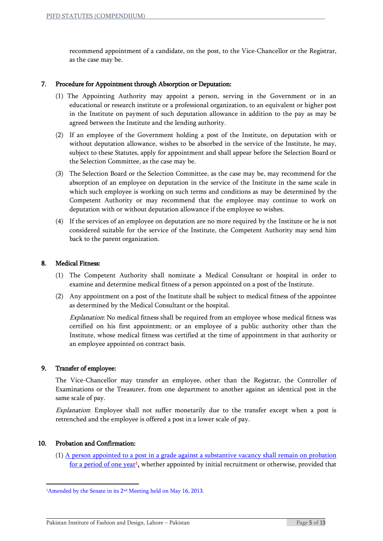recommend appointment of a candidate, on the post, to the Vice-Chancellor or the Registrar, as the case may be.

## 7. Procedure for Appointment through Absorption or Deputation:

- (1) The Appointing Authority may appoint a person, serving in the Government or in an educational or research institute or a professional organization, to an equivalent or higher post in the Institute on payment of such deputation allowance in addition to the pay as may be agreed between the Institute and the lending authority.
- (2) If an employee of the Government holding a post of the Institute, on deputation with or without deputation allowance, wishes to be absorbed in the service of the Institute, he may, subject to these Statutes, apply for appointment and shall appear before the Selection Board or the Selection Committee, as the case may be.
- (3) The Selection Board or the Selection Committee, as the case may be, may recommend for the absorption of an employee on deputation in the service of the Institute in the same scale in which such employee is working on such terms and conditions as may be determined by the Competent Authority or may recommend that the employee may continue to work on deputation with or without deputation allowance if the employee so wishes.
- (4) If the services of an employee on deputation are no more required by the Institute or he is not considered suitable for the service of the Institute, the Competent Authority may send him back to the parent organization.

#### 8. Medical Fitness:

- (1) The Competent Authority shall nominate a Medical Consultant or hospital in order to examine and determine medical fitness of a person appointed on a post of the Institute.
- (2) Any appointment on a post of the Institute shall be subject to medical fitness of the appointee as determined by the Medical Consultant or the hospital.

Explanation: No medical fitness shall be required from an employee whose medical fitness was certified on his first appointment; or an employee of a public authority other than the Institute, whose medical fitness was certified at the time of appointment in that authority or an employee appointed on contract basis.

#### 9. Transfer of employee:

The Vice-Chancellor may transfer an employee, other than the Registrar, the Controller of Examinations or the Treasurer, from one department to another against an identical post in the same scale of pay.

Explanation: Employee shall not suffer monetarily due to the transfer except when a post is retrenched and the employee is offered a post in a lower scale of pay.

#### 10. Probation and Confirmation:

**.** 

 $(1)$  A person appointed to a post in a grade against a substantive vacancy shall remain on probation <u>for a period of one year</u><sup>1</sup>, whether appointed by initial recruitment or otherwise, provided that

<sup>&</sup>lt;sup>1</sup>Amended by the Senate in its 2<sup>nd</sup> Meeting held on May 16, 2013.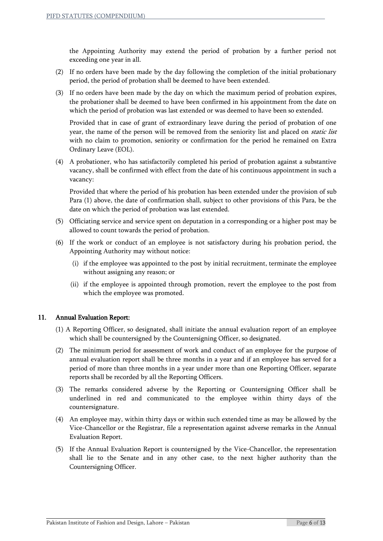the Appointing Authority may extend the period of probation by a further period not exceeding one year in all.

- (2) If no orders have been made by the day following the completion of the initial probationary period, the period of probation shall be deemed to have been extended.
- (3) If no orders have been made by the day on which the maximum period of probation expires, the probationer shall be deemed to have been confirmed in his appointment from the date on which the period of probation was last extended or was deemed to have been so extended.

Provided that in case of grant of extraordinary leave during the period of probation of one year, the name of the person will be removed from the seniority list and placed on *static list* with no claim to promotion, seniority or confirmation for the period he remained on Extra Ordinary Leave (EOL).

(4) A probationer, who has satisfactorily completed his period of probation against a substantive vacancy, shall be confirmed with effect from the date of his continuous appointment in such a vacancy:

Provided that where the period of his probation has been extended under the provision of sub Para (1) above, the date of confirmation shall, subject to other provisions of this Para, be the date on which the period of probation was last extended.

- (5) Officiating service and service spent on deputation in a corresponding or a higher post may be allowed to count towards the period of probation.
- (6) If the work or conduct of an employee is not satisfactory during his probation period, the Appointing Authority may without notice:
	- (i) if the employee was appointed to the post by initial recruitment, terminate the employee without assigning any reason; or
	- (ii) if the employee is appointed through promotion, revert the employee to the post from which the employee was promoted.

# 11. Annual Evaluation Report:

- (1) A Reporting Officer, so designated, shall initiate the annual evaluation report of an employee which shall be countersigned by the Countersigning Officer, so designated.
- (2) The minimum period for assessment of work and conduct of an employee for the purpose of annual evaluation report shall be three months in a year and if an employee has served for a period of more than three months in a year under more than one Reporting Officer, separate reports shall be recorded by all the Reporting Officers.
- (3) The remarks considered adverse by the Reporting or Countersigning Officer shall be underlined in red and communicated to the employee within thirty days of the countersignature.
- (4) An employee may, within thirty days or within such extended time as may be allowed by the Vice-Chancellor or the Registrar, file a representation against adverse remarks in the Annual Evaluation Report.
- (5) If the Annual Evaluation Report is countersigned by the Vice-Chancellor, the representation shall lie to the Senate and in any other case, to the next higher authority than the Countersigning Officer.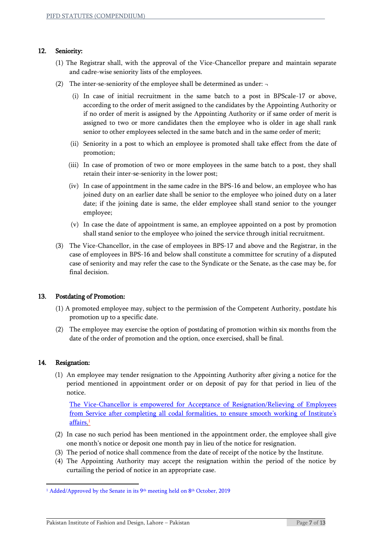# 12. Seniority:

- (1) The Registrar shall, with the approval of the Vice-Chancellor prepare and maintain separate and cadre-wise seniority lists of the employees.
- (2) The inter-se-seniority of the employee shall be determined as under:  $\neg$ 
	- (i) In case of initial recruitment in the same batch to a post in BPScale-17 or above, according to the order of merit assigned to the candidates by the Appointing Authority or if no order of merit is assigned by the Appointing Authority or if same order of merit is assigned to two or more candidates then the employee who is older in age shall rank senior to other employees selected in the same batch and in the same order of merit;
	- (ii) Seniority in a post to which an employee is promoted shall take effect from the date of promotion;
	- (iii) In case of promotion of two or more employees in the same batch to a post, they shall retain their inter-se-seniority in the lower post;
	- (iv) In case of appointment in the same cadre in the BPS-16 and below, an employee who has joined duty on an earlier date shall be senior to the employee who joined duty on a later date; if the joining date is same, the elder employee shall stand senior to the younger employee;
	- (v) In case the date of appointment is same, an employee appointed on a post by promotion shall stand senior to the employee who joined the service through initial recruitment.
- (3) The Vice-Chancellor, in the case of employees in BPS-17 and above and the Registrar, in the case of employees in BPS-16 and below shall constitute a committee for scrutiny of a disputed case of seniority and may refer the case to the Syndicate or the Senate, as the case may be, for final decision.

#### 13. Postdating of Promotion:

- (1) A promoted employee may, subject to the permission of the Competent Authority, postdate his promotion up to a specific date.
- (2) The employee may exercise the option of postdating of promotion within six months from the date of the order of promotion and the option, once exercised, shall be final.

#### 14. Resignation:

**.** 

(1) An employee may tender resignation to the Appointing Authority after giving a notice for the period mentioned in appointment order or on deposit of pay for that period in lieu of the notice.

The Vice-Chancellor is empowered for Acceptance of Resignation/Relieving of Employees from Service after completing all codal formalities, to ensure smooth working of Institute's <u>affairs.1</u>

- (2) In case no such period has been mentioned in the appointment order, the employee shall give one month's notice or deposit one month pay in lieu of the notice for resignation.
- (3) The period of notice shall commence from the date of receipt of the notice by the Institute.
- (4) The Appointing Authority may accept the resignation within the period of the notice by curtailing the period of notice in an appropriate case.

<sup>&</sup>lt;sup>1</sup> Added/Approved by the Senate in its 9<sup>th</sup> meeting held on 8<sup>th</sup> October, 2019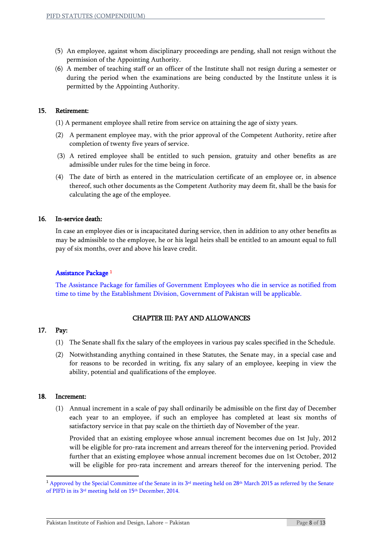- (5) An employee, against whom disciplinary proceedings are pending, shall not resign without the permission of the Appointing Authority.
- (6) A member of teaching staff or an officer of the Institute shall not resign during a semester or during the period when the examinations are being conducted by the Institute unless it is permitted by the Appointing Authority.

# 15. Retirement:

- (1) A permanent employee shall retire from service on attaining the age of sixty years.
- (2) A permanent employee may, with the prior approval of the Competent Authority, retire after completion of twenty five years of service.
- (3) A retired employee shall be entitled to such pension, gratuity and other benefits as are admissible under rules for the time being in force.
- (4) The date of birth as entered in the matriculation certificate of an employee or, in absence thereof, such other documents as the Competent Authority may deem fit, shall be the basis for calculating the age of the employee.

# 16. In-service death:

In case an employee dies or is incapacitated during service, then in addition to any other benefits as may be admissible to the employee, he or his legal heirs shall be entitled to an amount equal to full pay of six months, over and above his leave credit.

# Assistance Package 1

The Assistance Package for families of Government Employees who die in service as notified from time to time by the Establishment Division, Government of Pakistan will be applicable.

# CHAPTER III: PAY AND ALLOWANCES

# 17. Pay:

- (1) The Senate shall fix the salary of the employees in various pay scales specified in the Schedule.
- (2) Notwithstanding anything contained in these Statutes, the Senate may, in a special case and for reasons to be recorded in writing, fix any salary of an employee, keeping in view the ability, potential and qualifications of the employee.

#### 18. Increment:

**.** 

(1) Annual increment in a scale of pay shall ordinarily be admissible on the first day of December each year to an employee, if such an employee has completed at least six months of satisfactory service in that pay scale on the thirtieth day of November of the year.

Provided that an existing employee whose annual increment becomes due on 1st July, 2012 will be eligible for pro-rata increment and arrears thereof for the intervening period. Provided further that an existing employee whose annual increment becomes due on 1st October, 2012 will be eligible for pro-rata increment and arrears thereof for the intervening period. The

<sup>&</sup>lt;sup>1</sup> Approved by the Special Committee of the Senate in its  $3^{rd}$  meeting held on  $28^{th}$  March 2015 as referred by the Senate of PIFD in its 3<sup>rd</sup> meeting held on 15<sup>th</sup> December, 2014.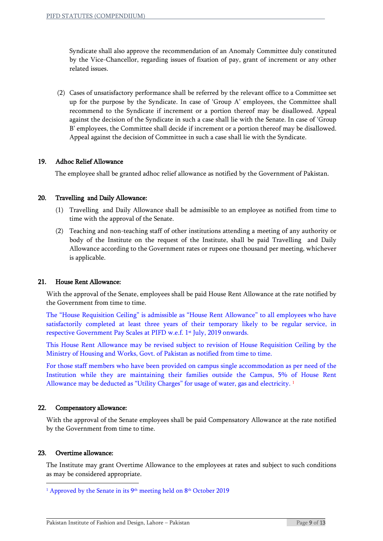Syndicate shall also approve the recommendation of an Anomaly Committee duly constituted by the Vice-Chancellor, regarding issues of fixation of pay, grant of increment or any other related issues.

(2) Cases of unsatisfactory performance shall be referred by the relevant office to a Committee set up for the purpose by the Syndicate. In case of 'Group A' employees, the Committee shall recommend to the Syndicate if increment or a portion thereof may be disallowed. Appeal against the decision of the Syndicate in such a case shall lie with the Senate. In case of 'Group B' employees, the Committee shall decide if increment or a portion thereof may be disallowed. Appeal against the decision of Committee in such a case shall lie with the Syndicate.

# 19. Adhoc Relief Allowance

The employee shall be granted adhoc relief allowance as notified by the Government of Pakistan.

#### 20. Travelling and Daily Allowance:

- (1) Travelling and Daily Allowance shall be admissible to an employee as notified from time to time with the approval of the Senate.
- (2) Teaching and non-teaching staff of other institutions attending a meeting of any authority or body of the Institute on the request of the Institute, shall be paid Travelling and Daily Allowance according to the Government rates or rupees one thousand per meeting, whichever is applicable.

#### 21. House Rent Allowance:

With the approval of the Senate, employees shall be paid House Rent Allowance at the rate notified by the Government from time to time.

The "House Requisition Ceiling" is admissible as "House Rent Allowance" to all employees who have satisfactorily completed at least three years of their temporary likely to be regular service, in respective Government Pay Scales at PIFD w.e.f. 1<sup>st</sup> July, 2019 onwards.

This House Rent Allowance may be revised subject to revision of House Requisition Ceiling by the Ministry of Housing and Works, Govt. of Pakistan as notified from time to time.

For those staff members who have been provided on campus single accommodation as per need of the Institution while they are maintaining their families outside the Campus, 5% of House Rent Allowance may be deducted as "Utility Charges" for usage of water, gas and electricity.<sup>1</sup>

#### 22. Compensatory allowance:

With the approval of the Senate employees shall be paid Compensatory Allowance at the rate notified by the Government from time to time.

## 23. Overtime allowance:

1

The Institute may grant Overtime Allowance to the employees at rates and subject to such conditions as may be considered appropriate.

<sup>&</sup>lt;sup>1</sup> Approved by the Senate in its 9<sup>th</sup> meeting held on 8<sup>th</sup> October 2019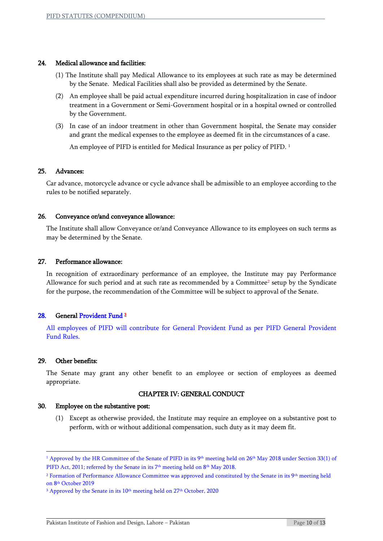#### 24. Medical allowance and facilities:

- (1) The Institute shall pay Medical Allowance to its employees at such rate as may be determined by the Senate. Medical Facilities shall also be provided as determined by the Senate.
- (2) An employee shall be paid actual expenditure incurred during hospitalization in case of indoor treatment in a Government or Semi-Government hospital or in a hospital owned or controlled by the Government.
- (3) In case of an indoor treatment in other than Government hospital, the Senate may consider and grant the medical expenses to the employee as deemed fit in the circumstances of a case.

An employee of PIFD is entitled for Medical Insurance as per policy of PIFD. <sup>1</sup>

#### 25. Advances:

Car advance, motorcycle advance or cycle advance shall be admissible to an employee according to the rules to be notified separately.

#### 26. Conveyance or/and conveyance allowance:

The Institute shall allow Conveyance or/and Conveyance Allowance to its employees on such terms as may be determined by the Senate.

#### 27. Performance allowance:

In recognition of extraordinary performance of an employee, the Institute may pay Performance Allowance for such period and at such rate as recommended by a Committee<sup>2</sup> setup by the Syndicate for the purpose, the recommendation of the Committee will be subject to approval of the Senate.

## 28. General Provident Fund<sup>3</sup>

All employees of PIFD will contribute for General Provident Fund as per PIFD General Provident Fund Rules.

#### 29. Other benefits:

**.** 

The Senate may grant any other benefit to an employee or section of employees as deemed appropriate.

#### CHAPTER IV: GENERAL CONDUCT

#### 30. Employee on the substantive post:

(1) Except as otherwise provided, the Institute may require an employee on a substantive post to perform, with or without additional compensation, such duty as it may deem fit.

<sup>&</sup>lt;sup>1</sup> Approved by the HR Committee of the Senate of PIFD in its 9<sup>th</sup> meeting held on 26<sup>th</sup> May 2018 under Section 33(1) of PIFD Act, 2011; referred by the Senate in its 7<sup>th</sup> meeting held on 8<sup>th</sup> May 2018.

<sup>&</sup>lt;sup>2</sup> Formation of Performance Allowance Committee was approved and constituted by the Senate in its 9<sup>th</sup> meeting held on 8th October 2019

<sup>&</sup>lt;sup>3</sup> Approved by the Senate in its 10<sup>th</sup> meeting held on 27<sup>th</sup> October, 2020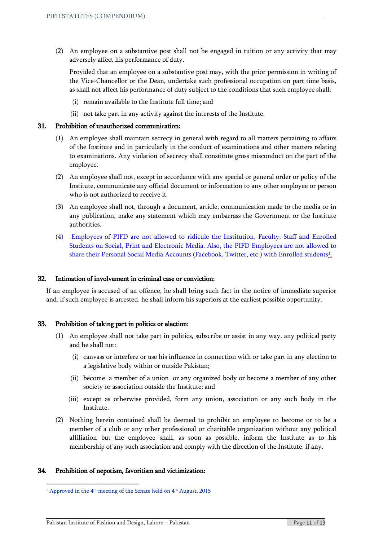(2) An employee on a substantive post shall not be engaged in tuition or any activity that may adversely affect his performance of duty.

Provided that an employee on a substantive post may, with the prior permission in writing of the Vice-Chancellor or the Dean, undertake such professional occupation on part time basis, as shall not affect his performance of duty subject to the conditions that such employee shall:

- (i) remain available to the Institute full time; and
- (ii) not take part in any activity against the interests of the Institute.

#### 31. Prohibition of unauthorized communication:

- (1) An employee shall maintain secrecy in general with regard to all matters pertaining to affairs of the Institute and in particularly in the conduct of examinations and other matters relating to examinations. Any violation of secrecy shall constitute gross misconduct on the part of the employee.
- (2) An employee shall not, except in accordance with any special or general order or policy of the Institute, communicate any official document or information to any other employee or person who is not authorized to receive it.
- (3) An employee shall not, through a document, article, communication made to the media or in any publication, make any statement which may embarrass the Government or the Institute authorities.
- (4) Employees of PIFD are not allowed to ridicule the Institution, Faculty, Staff and Enrolled Students on Social, Print and Electronic Media. Also, the PIFD Employees are not allowed to share their Personal Social Media Accounts (Facebook, Twitter, etc.) with Enrolled students<mark>1</mark>.

#### 32. Intimation of involvement in criminal case or conviction:

If an employee is accused of an offence, he shall bring such fact in the notice of immediate superior and, if such employee is arrested, he shall inform his superiors at the earliest possible opportunity.

#### 33. Prohibition of taking part in politics or election:

- (1) An employee shall not take part in politics, subscribe or assist in any way, any political party and he shall not:
	- (i) canvass or interfere or use his influence in connection with or take part in any election to a legislative body within or outside Pakistan;
	- (ii) become a member of a union or any organized body or become a member of any other society or association outside the Institute; and
	- (iii) except as otherwise provided, form any union, association or any such body in the Institute.
- (2) Nothing herein contained shall be deemed to prohibit an employee to become or to be a member of a club or any other professional or charitable organization without any political affiliation but the employee shall, as soon as possible, inform the Institute as to his membership of any such association and comply with the direction of the Institute, if any.

#### 34. Prohibition of nepotism, favoritism and victimization:

**.** 

<sup>&</sup>lt;sup>1</sup> Approved in the 4<sup>th</sup> meeting of the Senate held on 4<sup>th</sup> August, 2015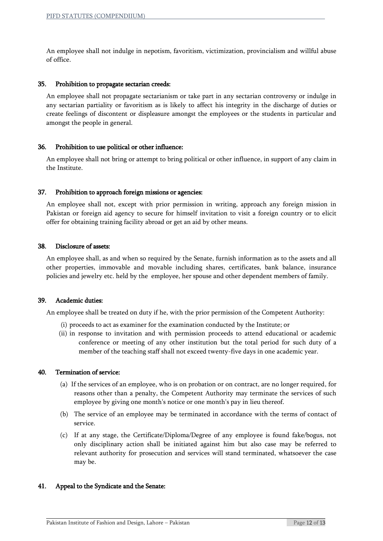An employee shall not indulge in nepotism, favoritism, victimization, provincialism and willful abuse of office.

#### 35. Prohibition to propagate sectarian creeds:

An employee shall not propagate sectarianism or take part in any sectarian controversy or indulge in any sectarian partiality or favoritism as is likely to affect his integrity in the discharge of duties or create feelings of discontent or displeasure amongst the employees or the students in particular and amongst the people in general.

#### 36. Prohibition to use political or other influence:

An employee shall not bring or attempt to bring political or other influence, in support of any claim in the Institute.

#### 37. Prohibition to approach foreign missions or agencies:

An employee shall not, except with prior permission in writing, approach any foreign mission in Pakistan or foreign aid agency to secure for himself invitation to visit a foreign country or to elicit offer for obtaining training facility abroad or get an aid by other means.

#### 38. Disclosure of assets:

An employee shall, as and when so required by the Senate, furnish information as to the assets and all other properties, immovable and movable including shares, certificates, bank balance, insurance policies and jewelry etc. held by the employee, her spouse and other dependent members of family.

#### 39. Academic duties:

An employee shall be treated on duty if he, with the prior permission of the Competent Authority:

- (i) proceeds to act as examiner for the examination conducted by the Institute; or
- (ii) in response to invitation and with permission proceeds to attend educational or academic conference or meeting of any other institution but the total period for such duty of a member of the teaching staff shall not exceed twenty-five days in one academic year.

#### 40. Termination of service:

- (a) If the services of an employee, who is on probation or on contract, are no longer required, for reasons other than a penalty, the Competent Authority may terminate the services of such employee by giving one month's notice or one month's pay in lieu thereof.
- (b) The service of an employee may be terminated in accordance with the terms of contact of service.
- (c) If at any stage, the Certificate/Diploma/Degree of any employee is found fake/bogus, not only disciplinary action shall be initiated against him but also case may be referred to relevant authority for prosecution and services will stand terminated, whatsoever the case may be.

#### 41. Appeal to the Syndicate and the Senate: